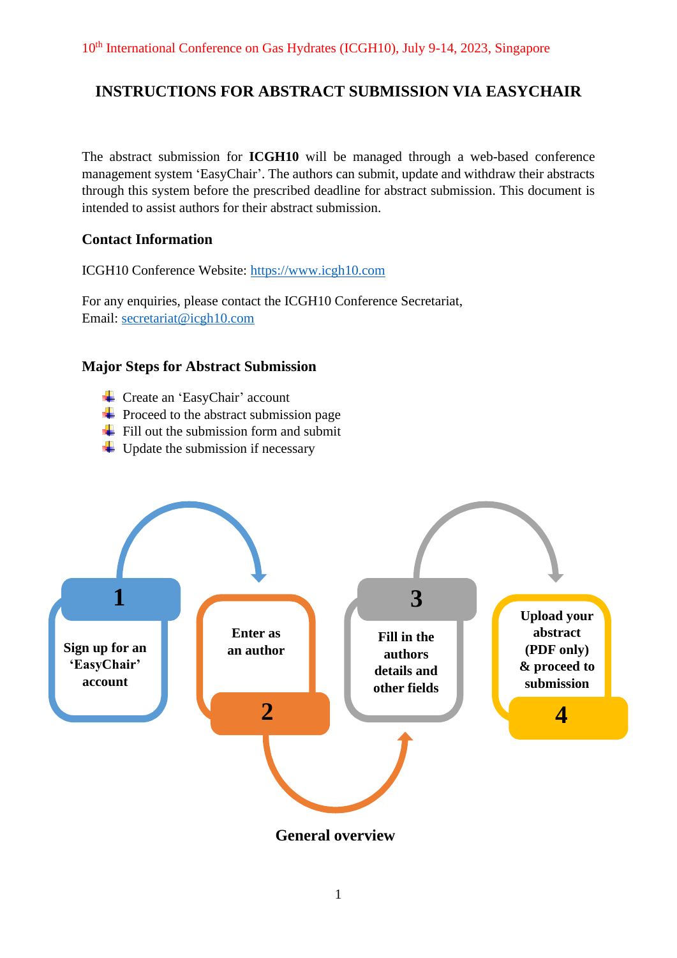# **INSTRUCTIONS FOR ABSTRACT SUBMISSION VIA EASYCHAIR**

The abstract submission for **ICGH10** will be managed through a web-based conference management system 'EasyChair'. The authors can submit, update and withdraw their abstracts through this system before the prescribed deadline for abstract submission. This document is intended to assist authors for their abstract submission.

# **Contact Information**

ICGH10 Conference Website: [https://www.icgh10.com](https://www.icgh10.com/)

For any enquiries, please contact the ICGH10 Conference Secretariat, Email: [secretariat@icgh10.com](mailto:secretariat@icgh10.com)

# **Major Steps for Abstract Submission**

- Create an 'EasyChair' account
- $\overline{\phantom{a}}$  Proceed to the abstract submission page
- $\div$  Fill out the submission form and submit
- $\downarrow$  Update the submission if necessary



**General overview**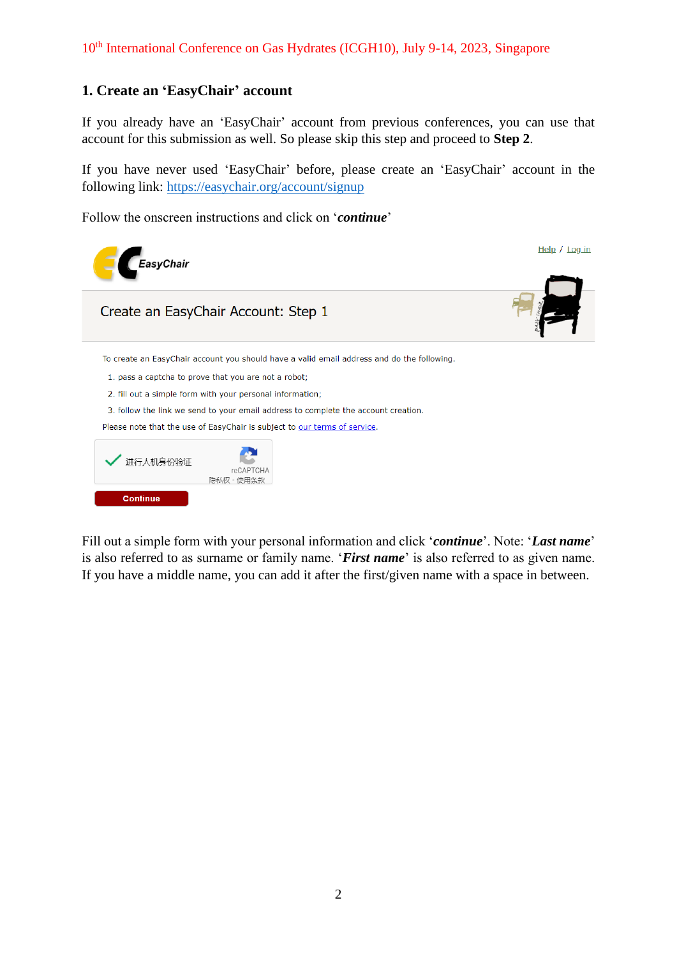# **1. Create an 'EasyChair' account**

If you already have an 'EasyChair' account from previous conferences, you can use that account for this submission as well. So please skip this step and proceed to **Step 2**.

If you have never used 'EasyChair' before, please create an 'EasyChair' account in the following link:<https://easychair.org/account/signup>

Follow the onscreen instructions and click on '*continue*'



Fill out a simple form with your personal information and click '*continue*'. Note: '*Last name*' is also referred to as surname or family name. '*First name*' is also referred to as given name. If you have a middle name, you can add it after the first/given name with a space in between.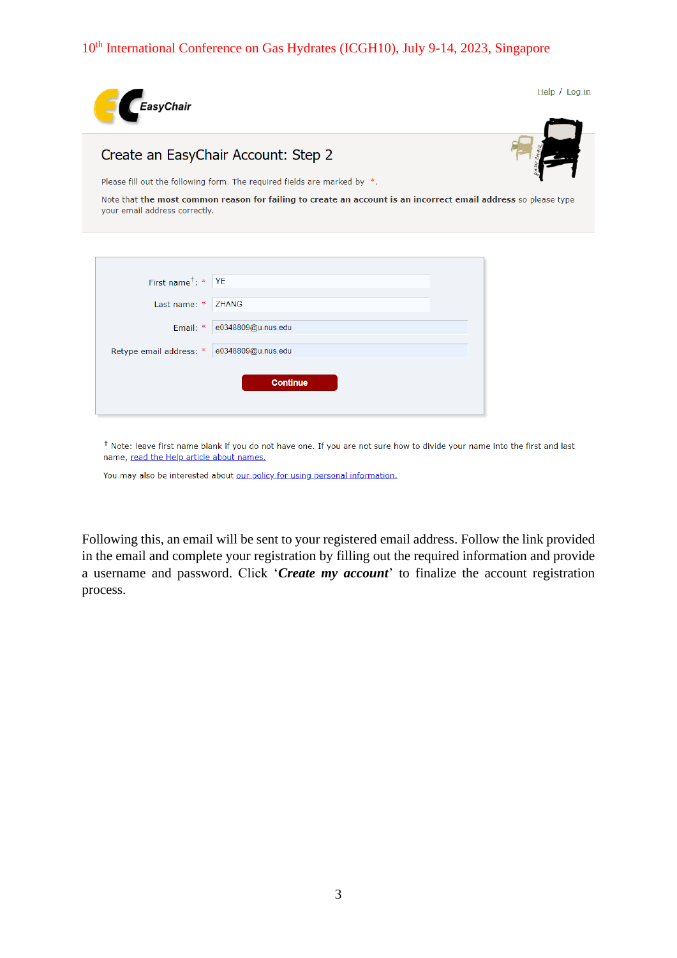

| First name <sup>†</sup> : *   YE             |                                |  |
|----------------------------------------------|--------------------------------|--|
| Last name: $*$ ZHANG                         |                                |  |
|                                              | Email: $*  e0348809@u.nus.edu$ |  |
| Retype email address: *   e0348809@u.nus.edu |                                |  |
|                                              | <b>Continue</b>                |  |

<sup>†</sup> Note: leave first name blank if you do not have one. If you are not sure how to divide your name into the first and last name, read the Help article about names.

You may also be interested about our policy for using personal information.

Following this, an email will be sent to your registered email address. Follow the link provided in the email and complete your registration by filling out the required information and provide a username and password. Click '*Create my account*' to finalize the account registration process.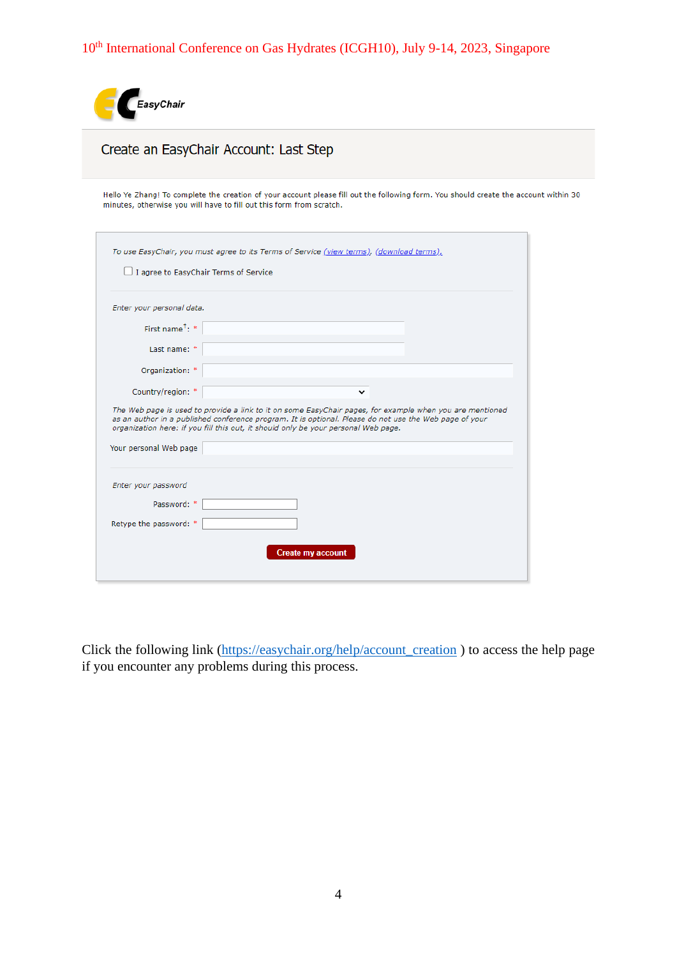

# Create an EasyChair Account: Last Step

Hello Ye Zhang! To complete the creation of your account please fill out the following form. You should create the account within 30 minutes, otherwise you will have to fill out this form from scratch.

| Enter your personal data.                       |                                                                                                                                                                                                                                                                                                          |
|-------------------------------------------------|----------------------------------------------------------------------------------------------------------------------------------------------------------------------------------------------------------------------------------------------------------------------------------------------------------|
| First name <sup><math>\uparrow</math></sup> : * |                                                                                                                                                                                                                                                                                                          |
| Last name: *                                    |                                                                                                                                                                                                                                                                                                          |
| Organization: *                                 |                                                                                                                                                                                                                                                                                                          |
|                                                 |                                                                                                                                                                                                                                                                                                          |
| Country/region: *                               | ◡                                                                                                                                                                                                                                                                                                        |
|                                                 | The Web page is used to provide a link to it on some EasyChair pages, for example when you are mentioned<br>as an author in a published conference program. It is optional. Please do not use the Web page of your<br>organization here: if you fill this out, it should only be your personal Web page. |
| Your personal Web page                          |                                                                                                                                                                                                                                                                                                          |
| Enter your password                             |                                                                                                                                                                                                                                                                                                          |
| Password: *                                     |                                                                                                                                                                                                                                                                                                          |

Click the following link [\(https://easychair.org/help/account\\_creation](https://easychair.org/help/account_creation) ) to access the help page if you encounter any problems during this process.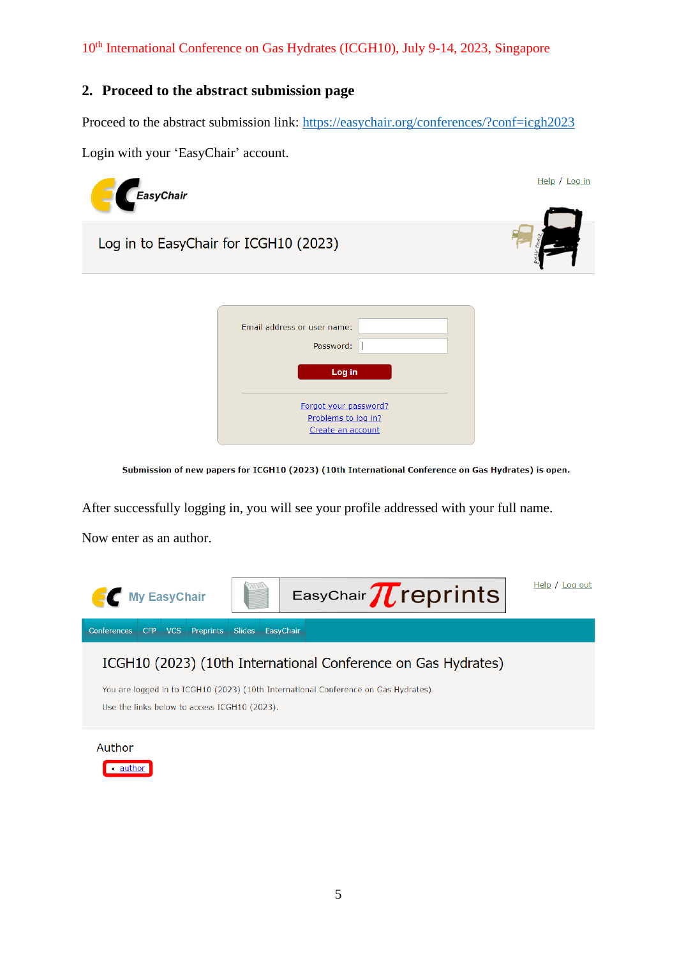### **2. Proceed to the abstract submission page**

Proceed to the abstract submission link:<https://easychair.org/conferences/?conf=icgh2023>

Login with your 'EasyChair' account.



Submission of new papers for ICGH10 (2023) (10th International Conference on Gas Hydrates) is open.

After successfully logging in, you will see your profile addressed with your full name.

Now enter as an author.



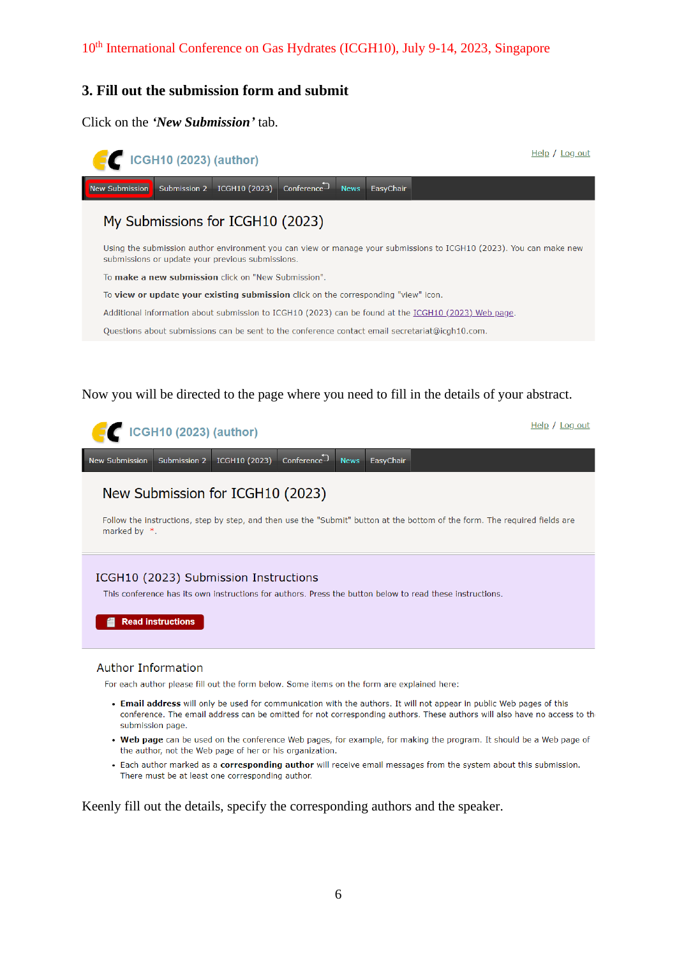### **3. Fill out the submission form and submit**

Click on the *'New Submission'* tab.



#### Now you will be directed to the page where you need to fill in the details of your abstract.



#### **Author Information**

For each author please fill out the form below. Some items on the form are explained here:

- Email address will only be used for communication with the authors. It will not appear in public Web pages of this conference. The email address can be omitted for not corresponding authors. These authors will also have no access to the submission page.
- . Web page can be used on the conference Web pages, for example, for making the program. It should be a Web page of the author, not the Web page of her or his organization.
- Each author marked as a corresponding author will receive email messages from the system about this submission. There must be at least one corresponding author.

Keenly fill out the details, specify the corresponding authors and the speaker.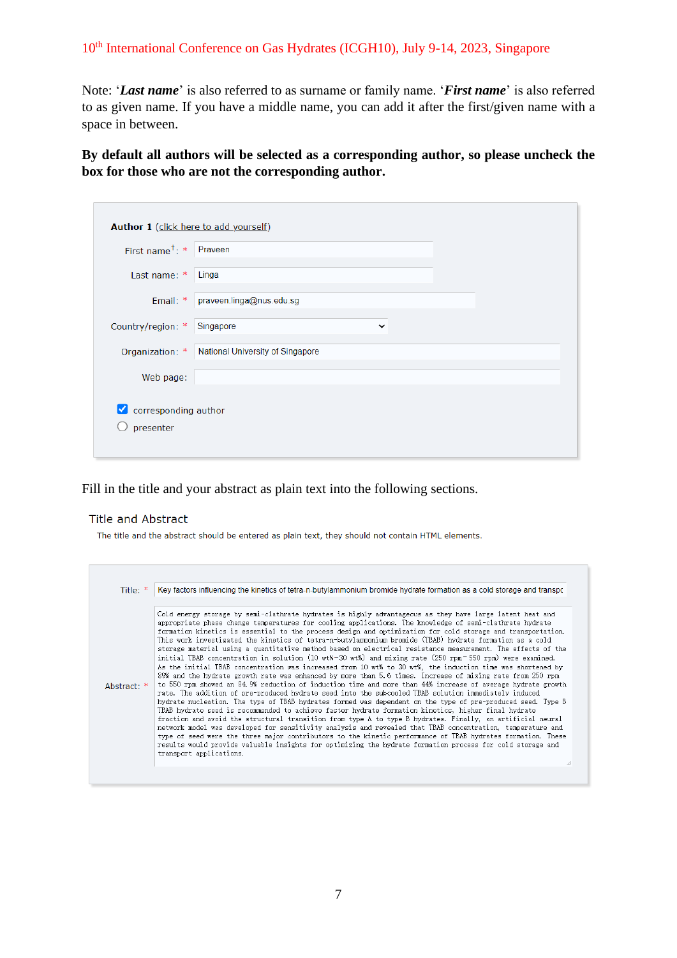Note: '*Last name*' is also referred to as surname or family name. '*First name*' is also referred to as given name. If you have a middle name, you can add it after the first/given name with a space in between.

**By default all authors will be selected as a corresponding author, so please uncheck the box for those who are not the corresponding author.**

| Author 1 (click here to add yourself) |                                                  |
|---------------------------------------|--------------------------------------------------|
| First name <sup>†</sup> : * Praveen   |                                                  |
| Last name: *                          | Linga                                            |
| Email: *                              | praveen.linga@nus.edu.sg                         |
| Country/region: *                     | Singapore<br>$\checkmark$                        |
|                                       | Organization: * National University of Singapore |
| Web page:                             |                                                  |
| corresponding author<br>∣✓∣           |                                                  |
| presenter                             |                                                  |
|                                       |                                                  |

Fill in the title and your abstract as plain text into the following sections.

#### **Title and Abstract**

The title and the abstract should be entered as plain text, they should not contain HTML elements.

|             | Key factors influencing the kinetics of tetra-n-butylammonium bromide hydrate formation as a cold storage and transport                                                                                                                                                                                                                                                                                                                                                                                                                                                                                                                                                                                                                                                                                                                                                                                                                                                                                                                                                                                                                                                                                                                                                                                                                                                                                                                                                                                                                                                                                                                                                                                                                                                                                                                 |
|-------------|-----------------------------------------------------------------------------------------------------------------------------------------------------------------------------------------------------------------------------------------------------------------------------------------------------------------------------------------------------------------------------------------------------------------------------------------------------------------------------------------------------------------------------------------------------------------------------------------------------------------------------------------------------------------------------------------------------------------------------------------------------------------------------------------------------------------------------------------------------------------------------------------------------------------------------------------------------------------------------------------------------------------------------------------------------------------------------------------------------------------------------------------------------------------------------------------------------------------------------------------------------------------------------------------------------------------------------------------------------------------------------------------------------------------------------------------------------------------------------------------------------------------------------------------------------------------------------------------------------------------------------------------------------------------------------------------------------------------------------------------------------------------------------------------------------------------------------------------|
| Abstract: * | Cold energy storage by semi-clathrate hydrates is highly advantageous as they have large latent heat and<br>appropriate phase change temperatures for cooling applications. The knowledge of semi-clathrate hydrate<br>formation kinetics is essential to the process design and optimization for cold storage and transportation.<br>This work investigated the kinetics of tetra-n-butylammonium bromide (TBAB) hydrate formation as a cold<br>storage material using a quantitative method based on electrical resistance measurement. The effects of the<br>initial TBAB concentration in solution (10 wt%-30 wt%) and mixing rate (250 rpm=550 rpm) were examined.<br>As the initial TBAB concentration was increased from 10 wt% to 30 wt%, the induction time was shortened by<br>89% and the hydrate growth rate was enhanced by more than 5.6 times. Increase of mixing rate from 250 rpm<br>to 550 rpm showed an 84.9% reduction of induction time and more than 44% increase of average hydrate growth<br>rate. The addition of pre-produced hydrate seed into the subcooled TBAB solution immediately induced<br>hydrate nucleation. The type of TBAB hydrates formed was dependent on the type of pre-produced seed. Type B<br>TBAB hydrate seed is recommended to achieve faster hydrate formation kinetics, higher final hydrate<br>fraction and avoid the structural transition from type A to type B hydrates. Finally, an artificial neural<br>network model was developed for sensitivity analysis and revealed that TBAB concentration, temperature and<br>type of seed were the three major contributors to the kinetic performance of TBAB hydrates formation. These<br>results would provide valuable insights for optimizing the hydrate formation process for cold storage and<br>transport applications.<br>h |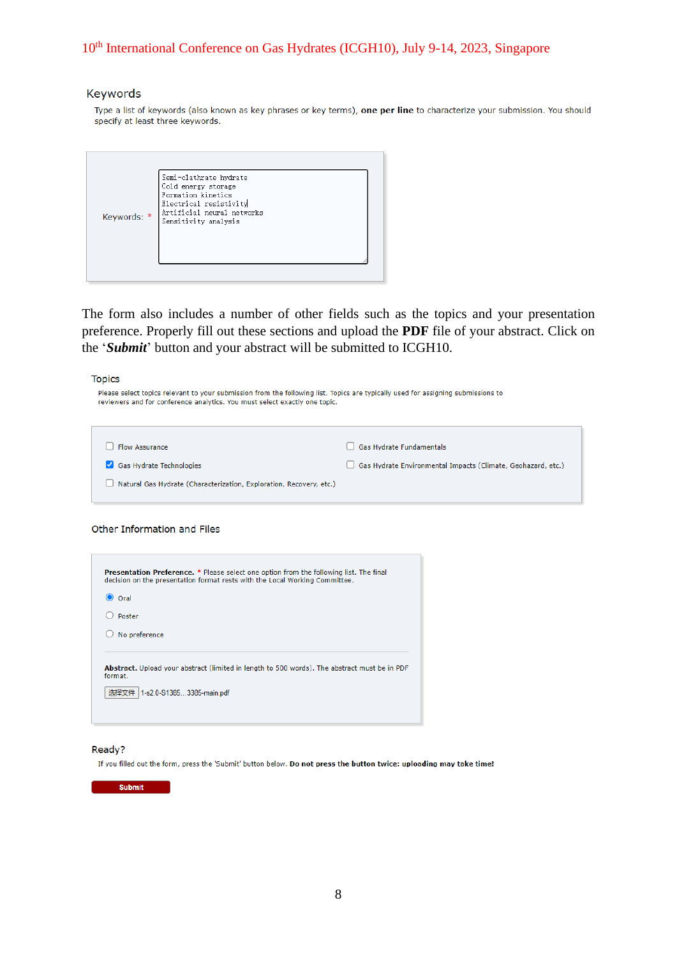#### Keywords

Type a list of keywords (also known as key phrases or key terms), one per line to characterize your submission. You should specify at least three keywords.

| Keywords: * | Semi-clathrate hydrate<br>Cold energy storage<br>Formation kinetics<br>Electrical resistivity<br>Artificial neural networks<br>Sensitivity analysis |  |
|-------------|-----------------------------------------------------------------------------------------------------------------------------------------------------|--|
|-------------|-----------------------------------------------------------------------------------------------------------------------------------------------------|--|

The form also includes a number of other fields such as the topics and your presentation preference. Properly fill out these sections and upload the **PDF** file of your abstract. Click on the '*Submit*' button and your abstract will be submitted to ICGH10.

**Topics** 

| Please select topics relevant to your submission from the following list. Topics are typically used for assigning submissions to<br>reviewers and for conference analytics. You must select exactly one topic. |                                                              |
|----------------------------------------------------------------------------------------------------------------------------------------------------------------------------------------------------------------|--------------------------------------------------------------|
| <b>Flow Assurance</b>                                                                                                                                                                                          | Gas Hydrate Fundamentals                                     |
| Gas Hydrate Technologies                                                                                                                                                                                       | Gas Hydrate Environmental Impacts (Climate, Geohazard, etc.) |
| Natural Gas Hydrate (Characterization, Exploration, Recovery, etc.)                                                                                                                                            |                                                              |

Other Information and Files

| Oral          |  |
|---------------|--|
| Poster        |  |
| No preference |  |

#### Ready?

If you filled out the form, press the 'Submit' button below. Do not press the button twice: uploading may take time!

**Submit**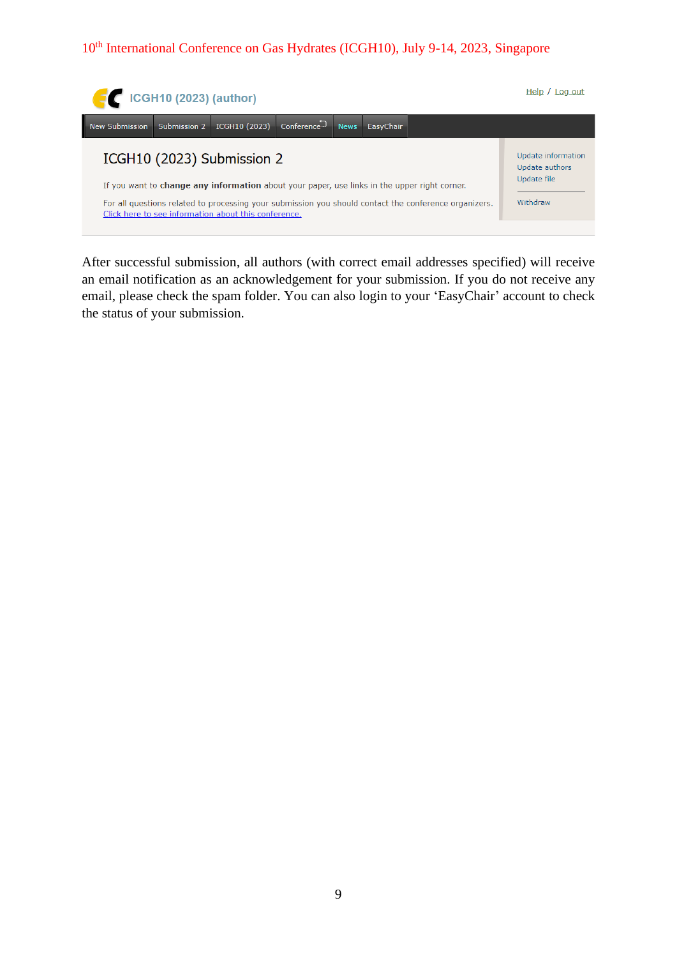

After successful submission, all authors (with correct email addresses specified) will receive an email notification as an acknowledgement for your submission. If you do not receive any email, please check the spam folder. You can also login to your 'EasyChair' account to check the status of your submission.